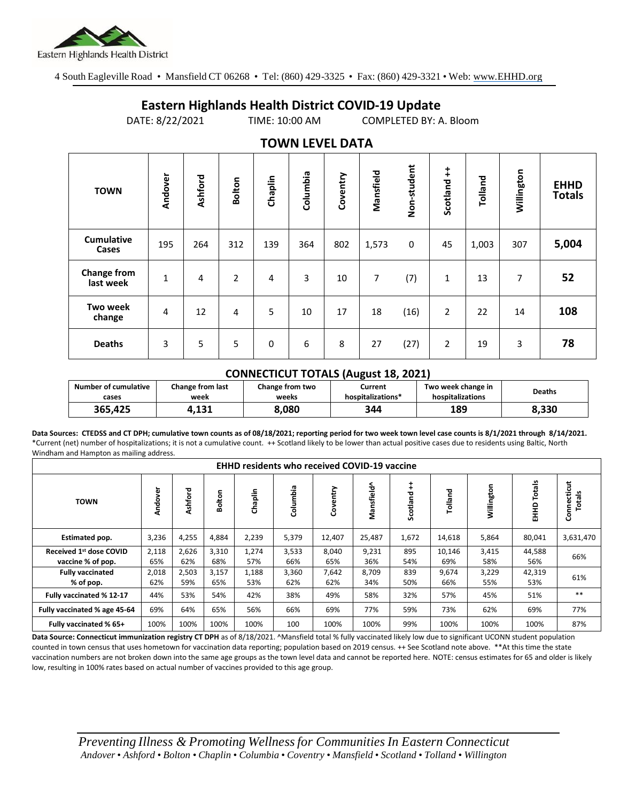

4 South Eagleville Road • Mansfield CT 06268 • Tel: (860) 429-3325 • Fax: (860) 429-3321 • Web: www.EHHD.org

## **Eastern Highlands Health District COVID-19 Update**

DATE: 8/22/2021 TIME: 10:00 AM COMPLETED BY: A. Bloom

| I V VYI Y LL V LL <i>Vi</i> nim |         |         |                |         |          |          |           |             |                |         |            |                              |
|---------------------------------|---------|---------|----------------|---------|----------|----------|-----------|-------------|----------------|---------|------------|------------------------------|
| <b>TOWN</b>                     | Andover | Ashford | <b>Bolton</b>  | Chaplin | Columbia | Coventry | Mansfield | Non-student | Scotland ++    | Tolland | Willington | <b>EHHD</b><br><b>Totals</b> |
| <b>Cumulative</b><br>Cases      | 195     | 264     | 312            | 139     | 364      | 802      | 1,573     | 0           | 45             | 1,003   | 307        | 5,004                        |
| <b>Change from</b><br>last week | 1       | 4       | $\overline{2}$ | 4       | 3        | 10       | 7         | (7)         | 1              | 13      | 7          | 52                           |
| <b>Two week</b><br>change       | 4       | 12      | 4              | 5       | 10       | 17       | 18        | (16)        | $\overline{2}$ | 22      | 14         | 108                          |
| <b>Deaths</b>                   | 3       | 5       | 5              | 0       | 6        | 8        | 27        | (27)        | $\overline{2}$ | 19      | 3          | 78                           |

## **TOWN LEVEL DATA**

## **CONNECTICUT TOTALS (August 18, 2021)**

| Number of cumulative | <b>Change from last</b> | Change from two | Current           | Two week change in | <b>Deaths</b> |  |
|----------------------|-------------------------|-----------------|-------------------|--------------------|---------------|--|
| cases                | week                    | weeks           | hospitalizations* | hospitalizations   |               |  |
| 365.425              | 1.131                   | 8,080           | 344               | 189                | 8.330         |  |

**Data Sources: CTEDSS and CT DPH; cumulative town counts as of 08/18/2021; reporting period for two week town level case counts is 8/1/2021 through 8/14/2021.** \*Current (net) number of hospitalizations; it is not a cumulative count. ++ Scotland likely to be lower than actual positive cases due to residents using Baltic, North Windham and Hampton as mailing address.

| <b>EHHD residents who received COVID-19 vaccine</b> |              |              |              |              |              |              |              |            |               |              |                  |                       |
|-----------------------------------------------------|--------------|--------------|--------------|--------------|--------------|--------------|--------------|------------|---------------|--------------|------------------|-----------------------|
| <b>TOWN</b>                                         | Andover      | Ashford      | Bolton       | Chaplin      | Columbia     | Coventry     | Mansfield^   | Scotland   | Tolland       | Willington   | Totals<br>요<br>표 | Connecticut<br>Totals |
| Estimated pop.                                      | 3,236        | 4,255        | 4,884        | 2,239        | 5,379        | 12,407       | 25,487       | 1,672      | 14,618        | 5,864        | 80,041           | 3,631,470             |
| Received 1st dose COVID<br>vaccine % of pop.        | 2,118<br>65% | 2,626<br>62% | 3,310<br>68% | 1,274<br>57% | 3,533<br>66% | 8,040<br>65% | 9,231<br>36% | 895<br>54% | 10,146<br>69% | 3,415<br>58% | 44,588<br>56%    | 66%                   |
| <b>Fully vaccinated</b><br>% of pop.                | 2,018<br>62% | 2,503<br>59% | 3,157<br>65% | 1,188<br>53% | 3,360<br>62% | 7,642<br>62% | 8,709<br>34% | 839<br>50% | 9,674<br>66%  | 3,229<br>55% | 42,319<br>53%    | 61%                   |
| Fully vaccinated % 12-17                            | 44%          | 53%          | 54%          | 42%          | 38%          | 49%          | 58%          | 32%        | 57%           | 45%          | 51%              | $***$                 |
| Fully vaccinated % age 45-64                        | 69%          | 64%          | 65%          | 56%          | 66%          | 69%          | 77%          | 59%        | 73%           | 62%          | 69%              | 77%                   |
| Fully vaccinated % 65+                              | 100%         | 100%         | 100%         | 100%         | 100          | 100%         | 100%         | 99%        | 100%          | 100%         | 100%             | 87%                   |

**Data Source: Connecticut immunization registry CT DPH** as of 8/18/2021. ^Mansfield total % fully vaccinated likely low due to significant UCONN student population counted in town census that uses hometown for vaccination data reporting; population based on 2019 census. ++ See Scotland note above. \*\*At this time the state vaccination numbers are not broken down into the same age groups as the town level data and cannot be reported here. NOTE: census estimates for 65 and older is likely low, resulting in 100% rates based on actual number of vaccines provided to this age group.